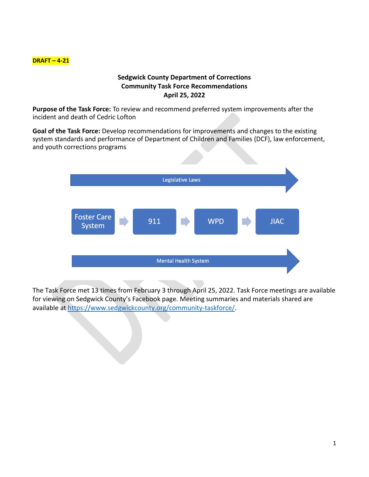#### **DRAFT – 4-21**

# **Sedgwick County Department of Corrections Community Task Force Recommendations April 25, 2022**

**Purpose of the Task Force:** To review and recommend preferred system improvements after the incident and death of Cedric Lofton

**Goal of the Task Force:** Develop recommendations for improvements and changes to the existing system standards and performance of Department of Children and Families (DCF), law enforcement, and youth corrections programs



The Task Force met 13 times from February 3 through April 25, 2022. Task Force meetings are available for viewing on Sedgwick County's Facebook page. Meeting summaries and materials shared are available at [https://www.sedgwickcounty.org/community-taskforce/.](https://www.sedgwickcounty.org/community-taskforce/)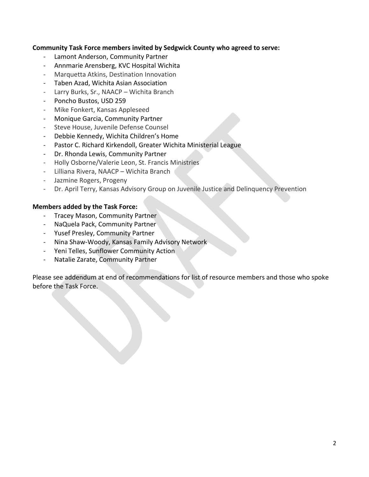### **Community Task Force members invited by Sedgwick County who agreed to serve:**

- Lamont Anderson, Community Partner
- Annmarie Arensberg, KVC Hospital Wichita
- Marquetta Atkins, Destination Innovation
- Taben Azad, Wichita Asian Association
- Larry Burks, Sr., NAACP Wichita Branch
- Poncho Bustos, USD 259
- Mike Fonkert, Kansas Appleseed
- Monique Garcia, Community Partner
- Steve House, Juvenile Defense Counsel
- Debbie Kennedy, Wichita Children's Home
- Pastor C. Richard Kirkendoll, Greater Wichita Ministerial League
- Dr. Rhonda Lewis, Community Partner
- Holly Osborne/Valerie Leon, St. Francis Ministries
- Lilliana Rivera, NAACP Wichita Branch
- Jazmine Rogers, Progeny
- Dr. April Terry, Kansas Advisory Group on Juvenile Justice and Delinquency Prevention

#### **Members added by the Task Force:**

- Tracey Mason, Community Partner
- NaQuela Pack, Community Partner
- Yusef Presley, Community Partner
- Nina Shaw-Woody, Kansas Family Advisory Network
- Yeni Telles, Sunflower Community Action
- Natalie Zarate, Community Partner

Please see addendum at end of recommendations for list of resource members and those who spoke before the Task Force.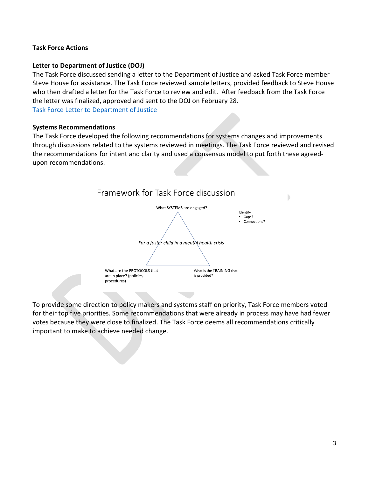### **Task Force Actions**

### **Letter to Department of Justice (DOJ)**

The Task Force discussed sending a letter to the Department of Justice and asked Task Force member Steve House for assistance. The Task Force reviewed sample letters, provided feedback to Steve House who then drafted a letter for the Task Force to review and edit. After feedback from the Task Force the letter was finalized, approved and sent to the DOJ on February 28. [Task Force Letter to Department of Justice](file:///C:/Users/Vera/Autotask%20Workplace/Vera/My%20Documents/Sedgwick%20County/letter-to-doj.pdf)

#### **Systems Recommendations**

The Task Force developed the following recommendations for systems changes and improvements through discussions related to the systems reviewed in meetings. The Task Force reviewed and revised the recommendations for intent and clarity and used a consensus model to put forth these agreedupon recommendations.



To provide some direction to policy makers and systems staff on priority, Task Force members voted for their top five priorities. Some recommendations that were already in process may have had fewer votes because they were close to finalized. The Task Force deems all recommendations critically important to make to achieve needed change.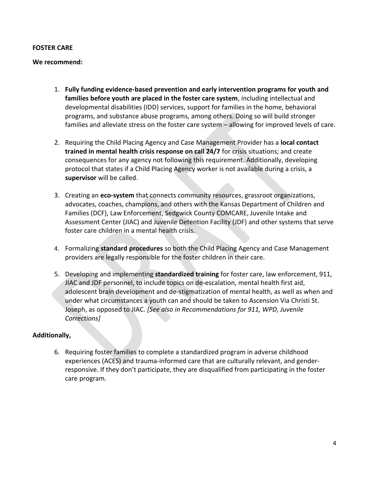### **FOSTER CARE**

#### **We recommend:**

- 1. **Fully funding evidence-based prevention and early intervention programs for youth and families before youth are placed in the foster care system**, including intellectual and developmental disabilities (IDD) services, support for families in the home, behavioral programs, and substance abuse programs, among others. Doing so will build stronger families and alleviate stress on the foster care system – allowing for improved levels of care.
- 2. Requiring the Child Placing Agency and Case Management Provider has a **local contact trained in mental health crisis response on call 24/7** for crisis situations; and create consequences for any agency not following this requirement. Additionally, developing protocol that states if a Child Placing Agency worker is not available during a crisis, a **supervisor** will be called.
- 3. Creating an **eco-system** that connects community resources, grassroot organizations, advocates, coaches, champions, and others with the Kansas Department of Children and Families (DCF), Law Enforcement, Sedgwick County COMCARE, Juvenile Intake and Assessment Center (JIAC) and Juvenile Detention Facility (JDF) and other systems that serve foster care children in a mental health crisis.
- 4. Formalizing **standard procedures** so both the Child Placing Agency and Case Management providers are legally responsible for the foster children in their care.
- 5. Developing and implementing **standardized training** for foster care, law enforcement, 911, JIAC and JDF personnel, to include topics on de-escalation, mental health first aid, adolescent brain development and de-stigmatization of mental health, as well as when and under what circumstances a youth can and should be taken to Ascension Via Christi St. Joseph, as opposed to JIAC. *[See also in Recommendations for 911, WPD, Juvenile Corrections]*

#### **Additionally,**

6. Requiring foster families to complete a standardized program in adverse childhood experiences (ACES) and trauma-informed care that are culturally relevant, and genderresponsive. If they don't participate, they are disqualified from participating in the foster care program.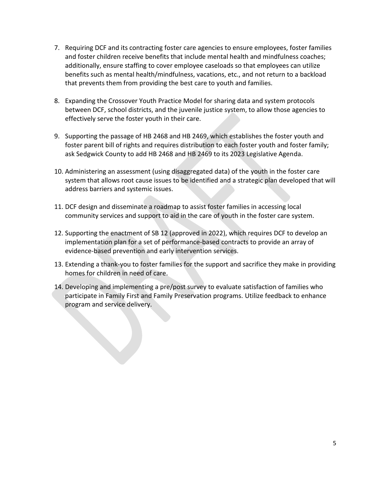- 7. Requiring DCF and its contracting foster care agencies to ensure employees, foster families and foster children receive benefits that include mental health and mindfulness coaches; additionally, ensure staffing to cover employee caseloads so that employees can utilize benefits such as mental health/mindfulness, vacations, etc., and not return to a backload that prevents them from providing the best care to youth and families.
- 8. Expanding the Crossover Youth Practice Model for sharing data and system protocols between DCF, school districts, and the juvenile justice system, to allow those agencies to effectively serve the foster youth in their care.
- 9. Supporting the passage of HB 2468 and HB 2469, which establishes the foster youth and foster parent bill of rights and requires distribution to each foster youth and foster family; ask Sedgwick County to add HB 2468 and HB 2469 to its 2023 Legislative Agenda.
- 10. Administering an assessment (using disaggregated data) of the youth in the foster care system that allows root cause issues to be identified and a strategic plan developed that will address barriers and systemic issues.
- 11. DCF design and disseminate a roadmap to assist foster families in accessing local community services and support to aid in the care of youth in the foster care system.
- 12. Supporting the enactment of SB 12 (approved in 2022), which requires DCF to develop an implementation plan for a set of performance-based contracts to provide an array of evidence-based prevention and early intervention services.
- 13. Extending a thank-you to foster families for the support and sacrifice they make in providing homes for children in need of care.
- 14. Developing and implementing a pre/post survey to evaluate satisfaction of families who participate in Family First and Family Preservation programs. Utilize feedback to enhance program and service delivery.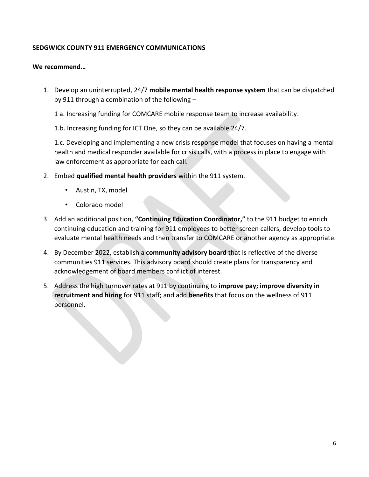## **SEDGWICK COUNTY 911 EMERGENCY COMMUNICATIONS**

### **We recommend…**

- 1. Develop an uninterrupted, 24/7 **mobile mental health response system** that can be dispatched by 911 through a combination of the following –
	- 1 a. Increasing funding for COMCARE mobile response team to increase availability.
	- 1.b. Increasing funding for ICT One, so they can be available 24/7.

1.c. Developing and implementing a new crisis response model that focuses on having a mental health and medical responder available for crisis calls, with a process in place to engage with law enforcement as appropriate for each call.

- 2. Embed **qualified mental health providers** within the 911 system.
	- Austin, TX, model
	- Colorado model
- 3. Add an additional position, **"Continuing Education Coordinator,"** to the 911 budget to enrich continuing education and training for 911 employees to better screen callers, develop tools to evaluate mental health needs and then transfer to COMCARE or another agency as appropriate.
- 4. By December 2022, establish a **community advisory board** that is reflective of the diverse communities 911 services. This advisory board should create plans for transparency and acknowledgement of board members conflict of interest.
- 5. Address the high turnover rates at 911 by continuing to **improve pay; improve diversity in recruitment and hiring** for 911 staff; and add **benefits** that focus on the wellness of 911 personnel.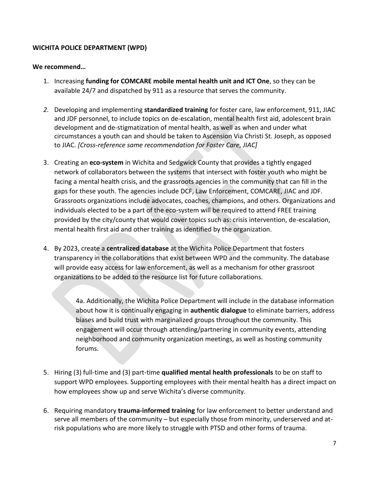## **WICHITA POLICE DEPARTMENT (WPD)**

#### **We recommend…**

- 1. Increasing **funding for COMCARE mobile mental health unit and ICT One**, so they can be available 24/7 and dispatched by 911 as a resource that serves the community.
- *2.* Developing and implementing **standardized training** for foster care, law enforcement, 911, JIAC and JDF personnel, to include topics on de-escalation, mental health first aid, adolescent brain development and de-stigmatization of mental health, as well as when and under what circumstances a youth can and should be taken to Ascension Via Christi St. Joseph, as opposed to JIAC. *[Cross-reference same recommendation for Foster Care, JIAC]*
- 3. Creating an **eco-system** in Wichita and Sedgwick County that provides a tightly engaged network of collaborators between the systems that intersect with foster youth who might be facing a mental health crisis, and the grassroots agencies in the community that can fill in the gaps for these youth. The agencies include DCF, Law Enforcement, COMCARE, JIAC and JDF. Grassroots organizations include advocates, coaches, champions, and others. Organizations and individuals elected to be a part of the eco-system will be required to attend FREE training provided by the city/county that would cover topics such as: crisis intervention, de-escalation, mental health first aid and other training as identified by the organization.
- 4. By 2023, create a **centralized database** at the Wichita Police Department that fosters transparency in the collaborations that exist between WPD and the community. The database will provide easy access for law enforcement, as well as a mechanism for other grassroot organizations to be added to the resource list for future collaborations.

4a. Additionally, the Wichita Police Department will include in the database information about how it is continually engaging in **authentic dialogue** to eliminate barriers, address biases and build trust with marginalized groups throughout the community. This engagement will occur through attending/partnering in community events, attending neighborhood and community organization meetings, as well as hosting community forums.

- 5. Hiring (3) full-time and (3) part-time **qualified mental health professionals** to be on staff to support WPD employees. Supporting employees with their mental health has a direct impact on how employees show up and serve Wichita's diverse community.
- 6. Requiring mandatory **trauma-informed training** for law enforcement to better understand and serve all members of the community – but especially those from minority, underserved and atrisk populations who are more likely to struggle with PTSD and other forms of trauma.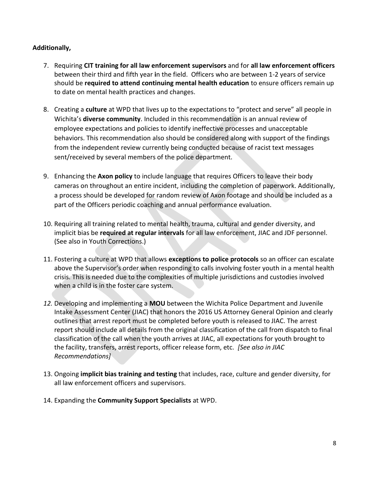# **Additionally,**

- 7. Requiring **CIT training for all law enforcement supervisors** and for **all law enforcement officers** between their third and fifth year **i**n the field. Officers who are between 1-2 years of service should be **required to attend continuing mental health education** to ensure officers remain up to date on mental health practices and changes.
- 8. Creating a **culture** at WPD that lives up to the expectations to "protect and serve" all people in Wichita's **diverse community**. Included in this recommendation is an annual review of employee expectations and policies to identify ineffective processes and unacceptable behaviors. This recommendation also should be considered along with support of the findings from the independent review currently being conducted because of racist text messages sent/received by several members of the police department.
- 9. Enhancing the **Axon policy** to include language that requires Officers to leave their body cameras on throughout an entire incident, including the completion of paperwork. Additionally, a process should be developed for random review of Axon footage and should be included as a part of the Officers periodic coaching and annual performance evaluation.
- 10. Requiring all training related to mental health, trauma, cultural and gender diversity, and implicit bias be **required at regular intervals** for all law enforcement, JIAC and JDF personnel. (See also in Youth Corrections.)
- 11. Fostering a culture at WPD that allows **exceptions to police protocols** so an officer can escalate above the Supervisor's order when responding to calls involving foster youth in a mental health crisis. This is needed due to the complexities of multiple jurisdictions and custodies involved when a child is in the foster care system.
- *12.* Developing and implementing a **MOU** between the Wichita Police Department and Juvenile Intake Assessment Center (JIAC) that honors the 2016 US Attorney General Opinion and clearly outlines that arrest report must be completed before youth is released to JIAC. The arrest report should include all details from the original classification of the call from dispatch to final classification of the call when the youth arrives at JIAC, all expectations for youth brought to the facility, transfers, arrest reports, officer release form, etc. *[See also in JIAC Recommendations]*
- 13. Ongoing **implicit bias training and testing** that includes, race, culture and gender diversity, for all law enforcement officers and supervisors.
- 14. Expanding the **Community Support Specialists** at WPD.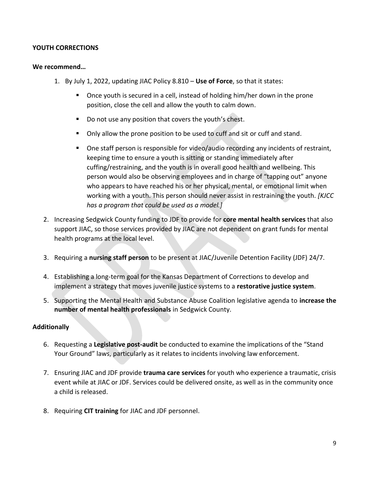## **YOUTH CORRECTIONS**

### **We recommend…**

- 1. By July 1, 2022, updating JIAC Policy 8.810 **Use of Force**, so that it states:
	- Once youth is secured in a cell, instead of holding him/her down in the prone position, close the cell and allow the youth to calm down.
	- Do not use any position that covers the youth's chest.
	- Only allow the prone position to be used to cuff and sit or cuff and stand.
	- **Dimethm 1** One staff person is responsible for video/audio recording any incidents of restraint, keeping time to ensure a youth is sitting or standing immediately after cuffing/restraining, and the youth is in overall good health and wellbeing. This person would also be observing employees and in charge of "tapping out" anyone who appears to have reached his or her physical, mental, or emotional limit when working with a youth. This person should never assist in restraining the youth. *[KJCC has a program that could be used as a model.]*
- 2. Increasing Sedgwick County funding to JDF to provide for **core mental health services** that also support JIAC, so those services provided by JIAC are not dependent on grant funds for mental health programs at the local level.
- 3. Requiring a **nursing staff person** to be present at JIAC/Juvenile Detention Facility (JDF) 24/7.
- 4. Establishing a long-term goal for the Kansas Department of Corrections to develop and implement a strategy that moves juvenile justice systems to a **restorative justice system**.
- 5. Supporting the Mental Health and Substance Abuse Coalition legislative agenda to **increase the number of mental health professionals** in Sedgwick County.

## **Additionally**

- 6. Requesting a **Legislative post-audit** be conducted to examine the implications of the "Stand Your Ground" laws, particularly as it relates to incidents involving law enforcement.
- 7. Ensuring JIAC and JDF provide **trauma care services** for youth who experience a traumatic, crisis event while at JIAC or JDF. Services could be delivered onsite, as well as in the community once a child is released.
- 8. Requiring **CIT training** for JIAC and JDF personnel.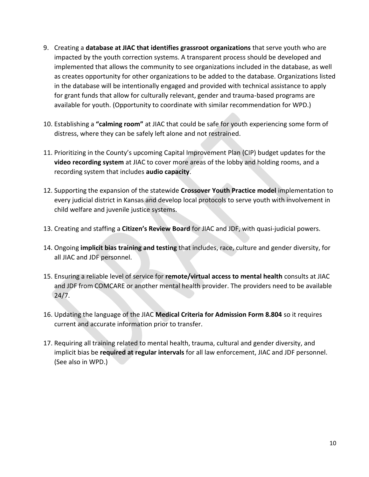- 9. Creating a **database at JIAC that identifies grassroot organizations** that serve youth who are impacted by the youth correction systems. A transparent process should be developed and implemented that allows the community to see organizations included in the database, as well as creates opportunity for other organizations to be added to the database. Organizations listed in the database will be intentionally engaged and provided with technical assistance to apply for grant funds that allow for culturally relevant, gender and trauma-based programs are available for youth. (Opportunity to coordinate with similar recommendation for WPD.)
- 10. Establishing a **"calming room"** at JIAC that could be safe for youth experiencing some form of distress, where they can be safely left alone and not restrained.
- 11. Prioritizing in the County's upcoming Capital Improvement Plan (CIP) budget updates for the **video recording system** at JIAC to cover more areas of the lobby and holding rooms, and a recording system that includes **audio capacity**.
- 12. Supporting the expansion of the statewide **Crossover Youth Practice model** implementation to every judicial district in Kansas and develop local protocols to serve youth with involvement in child welfare and juvenile justice systems.
- 13. Creating and staffing a **Citizen's Review Board** for JIAC and JDF, with quasi-judicial powers.
- 14. Ongoing **implicit bias training and testing** that includes, race, culture and gender diversity, for all JIAC and JDF personnel.
- 15. Ensuring a reliable level of service for **remote/virtual access to mental health** consults at JIAC and JDF from COMCARE or another mental health provider. The providers need to be available  $24/7.$
- 16. Updating the language of the JIAC **Medical Criteria for Admission Form 8.804** so it requires current and accurate information prior to transfer.
- 17. Requiring all training related to mental health, trauma, cultural and gender diversity, and implicit bias be **required at regular intervals** for all law enforcement, JIAC and JDF personnel. (See also in WPD.)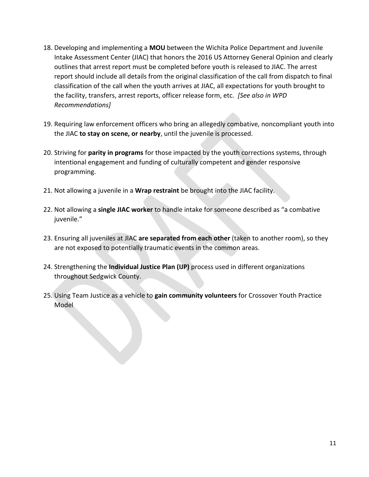- 18. Developing and implementing a **MOU** between the Wichita Police Department and Juvenile Intake Assessment Center (JIAC) that honors the 2016 US Attorney General Opinion and clearly outlines that arrest report must be completed before youth is released to JIAC. The arrest report should include all details from the original classification of the call from dispatch to final classification of the call when the youth arrives at JIAC, all expectations for youth brought to the facility, transfers, arrest reports, officer release form, etc. *[See also in WPD Recommendations]*
- 19. Requiring law enforcement officers who bring an allegedly combative, noncompliant youth into the JIAC **to stay on scene, or nearby**, until the juvenile is processed.
- 20. Striving for **parity in programs** for those impacted by the youth corrections systems, through intentional engagement and funding of culturally competent and gender responsive programming.
- 21. Not allowing a juvenile in a **Wrap restraint** be brought into the JIAC facility.
- 22. Not allowing a **single JIAC worker** to handle intake for someone described as "a combative juvenile."
- 23. Ensuring all juveniles at JIAC **are separated from each other** (taken to another room), so they are not exposed to potentially traumatic events in the common areas.
- 24. Strengthening the **Individual Justice Plan (IJP)** process used in different organizations throughout Sedgwick County.
- 25. Using Team Justice as a vehicle to **gain community volunteers** for Crossover Youth Practice **Model**